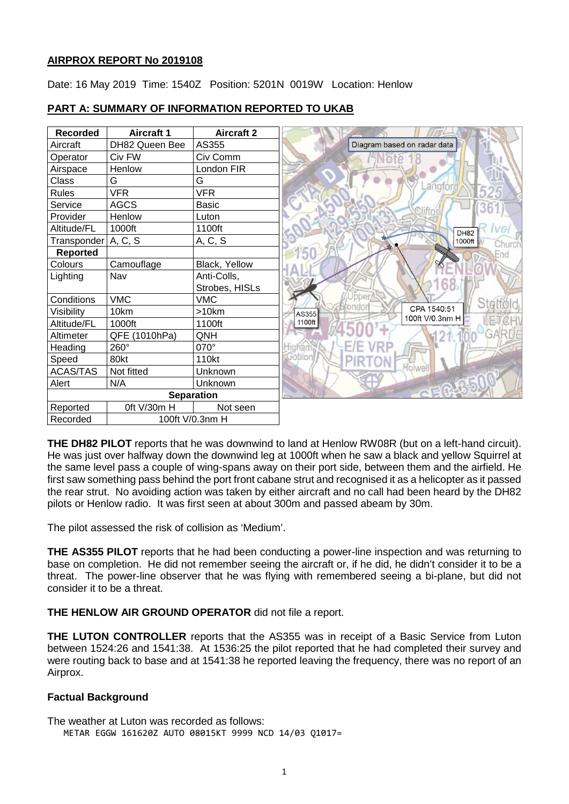#### **AIRPROX REPORT No 2019108**

Date: 16 May 2019 Time: 1540Z Position: 5201N 0019W Location: Henlow

| <b>Recorded</b>   | <b>Aircraft 1</b> | <b>Aircraft 2</b> |  |
|-------------------|-------------------|-------------------|--|
| Aircraft          | DH82 Queen Bee    | AS355             |  |
| Operator          | Civ FW            | Civ Comm          |  |
| Airspace          | Henlow            | London FIR        |  |
| Class             | G                 | G                 |  |
| <b>Rules</b>      | <b>VFR</b>        | <b>VFR</b>        |  |
| Service           | <b>AGCS</b>       | <b>Basic</b>      |  |
| Provider          | Henlow            | Luton             |  |
| Altitude/FL       | 1000ft            | 1100ft            |  |
| Transponder       | A, C, S           | A, C, S           |  |
| <b>Reported</b>   |                   |                   |  |
| Colours           | Camouflage        | Black, Yellow     |  |
| Lighting          | Nav               | Anti-Colls,       |  |
|                   |                   | Strobes, HISLs    |  |
| Conditions        | <b>VMC</b>        | <b>VMC</b>        |  |
| Visibility        | 10km              | >10km             |  |
| Altitude/FL       | 1000ft            | 1100ft            |  |
| Altimeter         | QFE (1010hPa)     | QNH               |  |
| Heading           | 260°              | 070°              |  |
| Speed             | 80kt              | 110kt             |  |
| <b>ACAS/TAS</b>   | Not fitted        | Unknown           |  |
| Alert             | N/A               | Unknown           |  |
| <b>Separation</b> |                   |                   |  |
| Reported          | 0ft V/30m H       | Not seen          |  |
| Recorded          | 100ft V/0.3nm H   |                   |  |

#### **PART A: SUMMARY OF INFORMATION REPORTED TO UKAB**

**THE DH82 PILOT** reports that he was downwind to land at Henlow RW08R (but on a left-hand circuit). He was just over halfway down the downwind leg at 1000ft when he saw a black and yellow Squirrel at the same level pass a couple of wing-spans away on their port side, between them and the airfield. He first saw something pass behind the port front cabane strut and recognised it as a helicopter as it passed the rear strut. No avoiding action was taken by either aircraft and no call had been heard by the DH82 pilots or Henlow radio. It was first seen at about 300m and passed abeam by 30m.

The pilot assessed the risk of collision as 'Medium'.

**THE AS355 PILOT** reports that he had been conducting a power-line inspection and was returning to base on completion. He did not remember seeing the aircraft or, if he did, he didn't consider it to be a threat. The power-line observer that he was flying with remembered seeing a bi-plane, but did not consider it to be a threat.

**THE HENLOW AIR GROUND OPERATOR** did not file a report.

**THE LUTON CONTROLLER** reports that the AS355 was in receipt of a Basic Service from Luton between 1524:26 and 1541:38. At 1536:25 the pilot reported that he had completed their survey and were routing back to base and at 1541:38 he reported leaving the frequency, there was no report of an Airprox.

#### **Factual Background**

The weather at Luton was recorded as follows: METAR EGGW 161620Z AUTO 08015KT 9999 NCD 14/03 Q1017=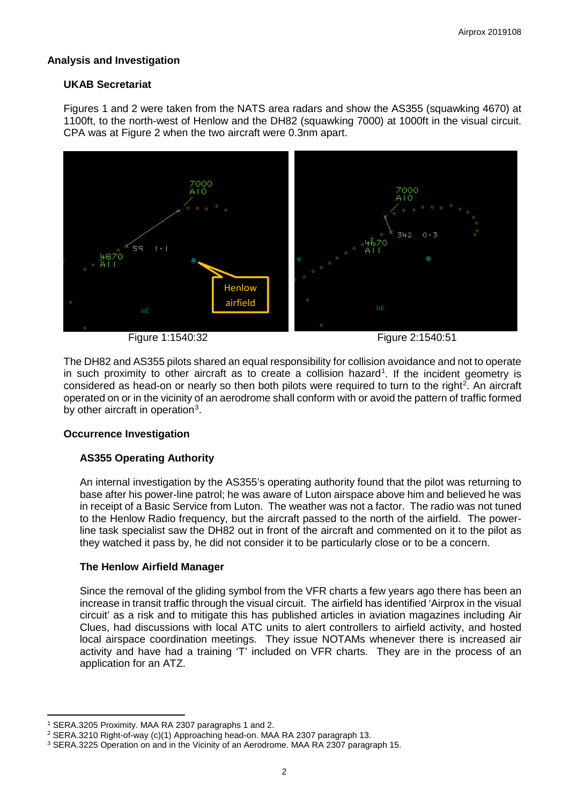## **Analysis and Investigation**

## **UKAB Secretariat**

Figures 1 and 2 were taken from the NATS area radars and show the AS355 (squawking 4670) at 1100ft, to the north-west of Henlow and the DH82 (squawking 7000) at 1000ft in the visual circuit. CPA was at Figure 2 when the two aircraft were 0.3nm apart.



The DH82 and AS355 pilots shared an equal responsibility for collision avoidance and not to operate in such proximity to other aircraft as to create a collision hazard<sup>[1](#page-1-0)</sup>. If the incident geometry is considered as head-on or nearly so then both pilots were required to turn to the right<sup>[2](#page-1-1)</sup>. An aircraft operated on or in the vicinity of an aerodrome shall conform with or avoid the pattern of traffic formed by other aircraft in operation<sup>[3](#page-1-2)</sup>.

#### **Occurrence Investigation**

# **AS355 Operating Authority**

An internal investigation by the AS355's operating authority found that the pilot was returning to base after his power-line patrol; he was aware of Luton airspace above him and believed he was in receipt of a Basic Service from Luton. The weather was not a factor. The radio was not tuned to the Henlow Radio frequency, but the aircraft passed to the north of the airfield. The powerline task specialist saw the DH82 out in front of the aircraft and commented on it to the pilot as they watched it pass by, he did not consider it to be particularly close or to be a concern.

# **The Henlow Airfield Manager**

Since the removal of the gliding symbol from the VFR charts a few years ago there has been an increase in transit traffic through the visual circuit. The airfield has identified 'Airprox in the visual circuit' as a risk and to mitigate this has published articles in aviation magazines including Air Clues, had discussions with local ATC units to alert controllers to airfield activity, and hosted local airspace coordination meetings. They issue NOTAMs whenever there is increased air activity and have had a training 'T' included on VFR charts. They are in the process of an application for an ATZ.

l <sup>1</sup> SERA.3205 Proximity. MAA RA 2307 paragraphs 1 and 2.

<span id="page-1-1"></span><span id="page-1-0"></span><sup>2</sup> SERA.3210 Right-of-way (c)(1) Approaching head-on. MAA RA 2307 paragraph 13.

<span id="page-1-2"></span><sup>3</sup> SERA.3225 Operation on and in the Vicinity of an Aerodrome. MAA RA 2307 paragraph 15.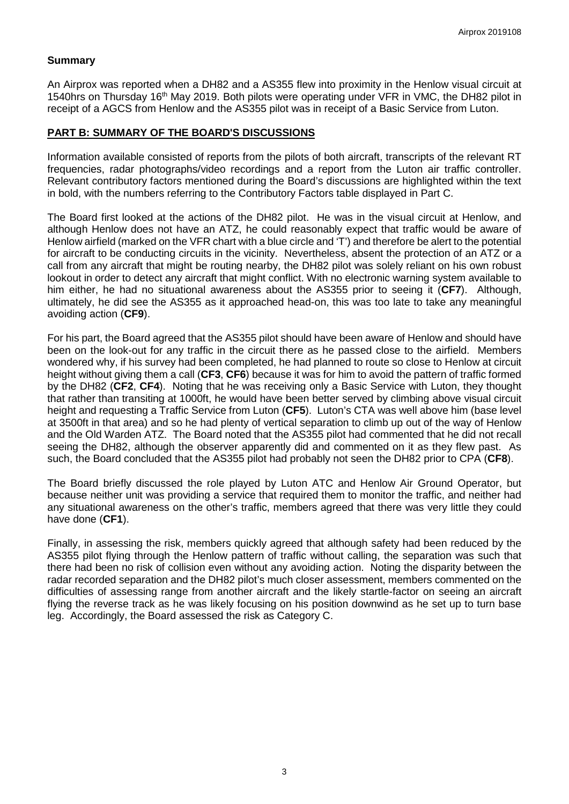#### **Summary**

An Airprox was reported when a DH82 and a AS355 flew into proximity in the Henlow visual circuit at 1540hrs on Thursday 16<sup>th</sup> May 2019. Both pilots were operating under VFR in VMC, the DH82 pilot in receipt of a AGCS from Henlow and the AS355 pilot was in receipt of a Basic Service from Luton.

## **PART B: SUMMARY OF THE BOARD'S DISCUSSIONS**

Information available consisted of reports from the pilots of both aircraft, transcripts of the relevant RT frequencies, radar photographs/video recordings and a report from the Luton air traffic controller. Relevant contributory factors mentioned during the Board's discussions are highlighted within the text in bold, with the numbers referring to the Contributory Factors table displayed in Part C.

The Board first looked at the actions of the DH82 pilot. He was in the visual circuit at Henlow, and although Henlow does not have an ATZ, he could reasonably expect that traffic would be aware of Henlow airfield (marked on the VFR chart with a blue circle and 'T') and therefore be alert to the potential for aircraft to be conducting circuits in the vicinity. Nevertheless, absent the protection of an ATZ or a call from any aircraft that might be routing nearby, the DH82 pilot was solely reliant on his own robust lookout in order to detect any aircraft that might conflict. With no electronic warning system available to him either, he had no situational awareness about the AS355 prior to seeing it (**CF7**). Although, ultimately, he did see the AS355 as it approached head-on, this was too late to take any meaningful avoiding action (**CF9**).

For his part, the Board agreed that the AS355 pilot should have been aware of Henlow and should have been on the look-out for any traffic in the circuit there as he passed close to the airfield. Members wondered why, if his survey had been completed, he had planned to route so close to Henlow at circuit height without giving them a call (**CF3**, **CF6**) because it was for him to avoid the pattern of traffic formed by the DH82 (**CF2**, **CF4**). Noting that he was receiving only a Basic Service with Luton, they thought that rather than transiting at 1000ft, he would have been better served by climbing above visual circuit height and requesting a Traffic Service from Luton (**CF5**). Luton's CTA was well above him (base level at 3500ft in that area) and so he had plenty of vertical separation to climb up out of the way of Henlow and the Old Warden ATZ. The Board noted that the AS355 pilot had commented that he did not recall seeing the DH82, although the observer apparently did and commented on it as they flew past. As such, the Board concluded that the AS355 pilot had probably not seen the DH82 prior to CPA (**CF8**).

The Board briefly discussed the role played by Luton ATC and Henlow Air Ground Operator, but because neither unit was providing a service that required them to monitor the traffic, and neither had any situational awareness on the other's traffic, members agreed that there was very little they could have done (**CF1**).

Finally, in assessing the risk, members quickly agreed that although safety had been reduced by the AS355 pilot flying through the Henlow pattern of traffic without calling, the separation was such that there had been no risk of collision even without any avoiding action. Noting the disparity between the radar recorded separation and the DH82 pilot's much closer assessment, members commented on the difficulties of assessing range from another aircraft and the likely startle-factor on seeing an aircraft flying the reverse track as he was likely focusing on his position downwind as he set up to turn base leg. Accordingly, the Board assessed the risk as Category C.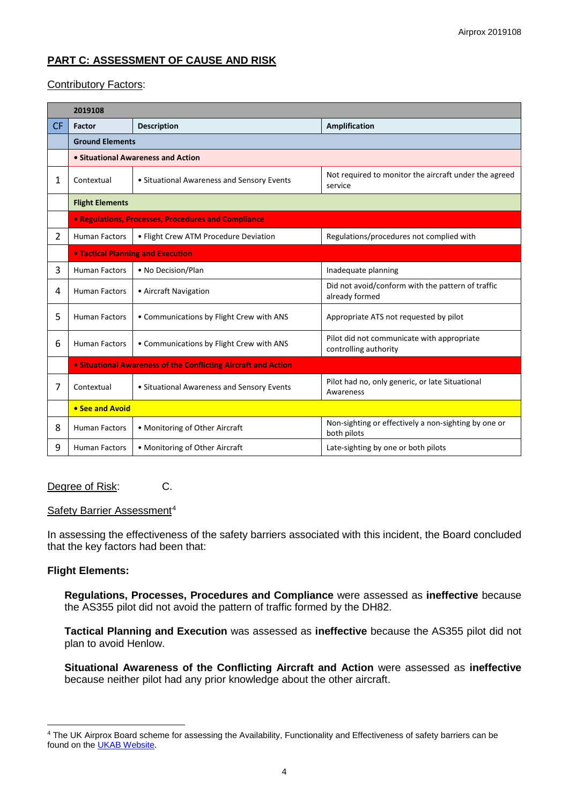# **PART C: ASSESSMENT OF CAUSE AND RISK**

## Contributory Factors:

|           | 2019108                                                        |                                            |                                                                     |  |  |  |
|-----------|----------------------------------------------------------------|--------------------------------------------|---------------------------------------------------------------------|--|--|--|
| <b>CF</b> | <b>Factor</b>                                                  | <b>Description</b>                         | <b>Amplification</b>                                                |  |  |  |
|           | <b>Ground Elements</b>                                         |                                            |                                                                     |  |  |  |
|           | • Situational Awareness and Action                             |                                            |                                                                     |  |  |  |
| 1         | Contextual                                                     | • Situational Awareness and Sensory Events | Not required to monitor the aircraft under the agreed<br>service    |  |  |  |
|           | <b>Flight Elements</b>                                         |                                            |                                                                     |  |  |  |
|           | <b>• Regulations, Processes, Procedures and Compliance</b>     |                                            |                                                                     |  |  |  |
| 2         | <b>Human Factors</b>                                           | • Flight Crew ATM Procedure Deviation      | Regulations/procedures not complied with                            |  |  |  |
|           | <b>• Tactical Planning and Execution</b>                       |                                            |                                                                     |  |  |  |
| 3         | <b>Human Factors</b>                                           | • No Decision/Plan                         | Inadequate planning                                                 |  |  |  |
| 4         | <b>Human Factors</b>                                           | • Aircraft Navigation                      | Did not avoid/conform with the pattern of traffic<br>already formed |  |  |  |
| 5         | <b>Human Factors</b>                                           | • Communications by Flight Crew with ANS   | Appropriate ATS not requested by pilot                              |  |  |  |
| 6         | <b>Human Factors</b>                                           | • Communications by Flight Crew with ANS   | Pilot did not communicate with appropriate<br>controlling authority |  |  |  |
|           | • Situational Awareness of the Conflicting Aircraft and Action |                                            |                                                                     |  |  |  |
| 7         | Contextual                                                     | • Situational Awareness and Sensory Events | Pilot had no, only generic, or late Situational<br>Awareness        |  |  |  |
|           | • See and Avoid                                                |                                            |                                                                     |  |  |  |
| 8         | <b>Human Factors</b>                                           | • Monitoring of Other Aircraft             | Non-sighting or effectively a non-sighting by one or<br>both pilots |  |  |  |
| 9         | <b>Human Factors</b>                                           | • Monitoring of Other Aircraft             | Late-sighting by one or both pilots                                 |  |  |  |

#### Degree of Risk: C.

#### Safety Barrier Assessment<sup>[4](#page-3-0)</sup>

In assessing the effectiveness of the safety barriers associated with this incident, the Board concluded that the key factors had been that:

#### **Flight Elements:**

 $\overline{\phantom{a}}$ 

**Regulations, Processes, Procedures and Compliance** were assessed as **ineffective** because the AS355 pilot did not avoid the pattern of traffic formed by the DH82.

**Tactical Planning and Execution** was assessed as **ineffective** because the AS355 pilot did not plan to avoid Henlow.

**Situational Awareness of the Conflicting Aircraft and Action** were assessed as **ineffective** because neither pilot had any prior knowledge about the other aircraft.

<span id="page-3-0"></span><sup>4</sup> The UK Airprox Board scheme for assessing the Availability, Functionality and Effectiveness of safety barriers can be found on the **UKAB Website**.